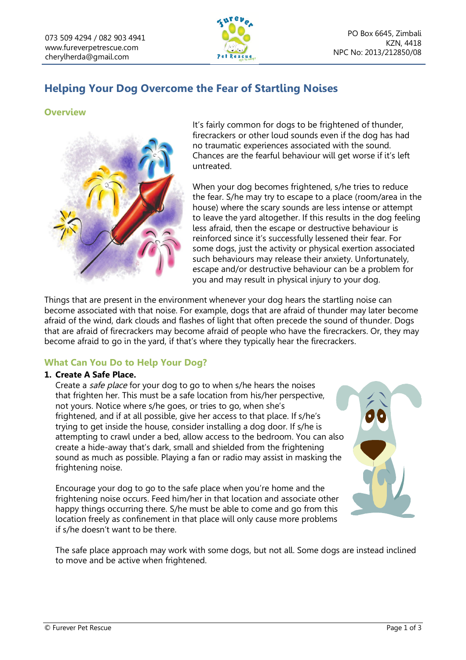

# **Helping Your Dog Overcome the Fear of Startling Noises**

## **Overview**



It's fairly common for dogs to be frightened of thunder, firecrackers or other loud sounds even if the dog has had no traumatic experiences associated with the sound. Chances are the fearful behaviour will get worse if it's left untreated.

When your dog becomes frightened, s/he tries to reduce the fear. S/he may try to escape to a place (room/area in the house) where the scary sounds are less intense or attempt to leave the yard altogether. If this results in the dog feeling less afraid, then the escape or destructive behaviour is reinforced since it's successfully lessened their fear. For some dogs, just the activity or physical exertion associated such behaviours may release their anxiety. Unfortunately, escape and/or destructive behaviour can be a problem for you and may result in physical injury to your dog.

Things that are present in the environment whenever your dog hears the startling noise can become associated with that noise. For example, dogs that are afraid of thunder may later become afraid of the wind, dark clouds and flashes of light that often precede the sound of thunder. Dogs that are afraid of firecrackers may become afraid of people who have the firecrackers. Or, they may become afraid to go in the yard, if that's where they typically hear the firecrackers.

## **What Can You Do to Help Your Dog?**

### **1. Create A Safe Place.**

Create a safe place for your dog to go to when s/he hears the noises that frighten her. This must be a safe location from his/her perspective, not yours. Notice where s/he goes, or tries to go, when she's frightened, and if at all possible, give her access to that place. If s/he's trying to get inside the house, consider installing a dog door. If s/he is attempting to crawl under a bed, allow access to the bedroom. You can also create a hide-away that's dark, small and shielded from the frightening sound as much as possible. Playing a fan or radio may assist in masking the frightening noise.

Encourage your dog to go to the safe place when you're home and the frightening noise occurs. Feed him/her in that location and associate other happy things occurring there. S/he must be able to come and go from this location freely as confinement in that place will only cause more problems if s/he doesn't want to be there.



The safe place approach may work with some dogs, but not all. Some dogs are instead inclined to move and be active when frightened.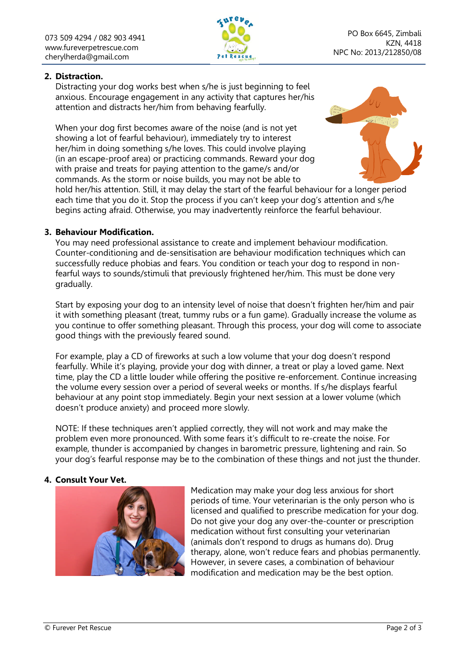

## **2. Distraction.**

Distracting your dog works best when s/he is just beginning to feel anxious. Encourage engagement in any activity that captures her/his attention and distracts her/him from behaving fearfully.

When your dog first becomes aware of the noise (and is not yet showing a lot of fearful behaviour), immediately try to interest her/him in doing something s/he loves. This could involve playing (in an escape-proof area) or practicing commands. Reward your dog with praise and treats for paying attention to the game/s and/or commands. As the storm or noise builds, you may not be able to



hold her/his attention. Still, it may delay the start of the fearful behaviour for a longer period each time that you do it. Stop the process if you can't keep your dog's attention and s/he begins acting afraid. Otherwise, you may inadvertently reinforce the fearful behaviour.

### **3. Behaviour Modification.**

You may need professional assistance to create and implement behaviour modification. Counter-conditioning and de-sensitisation are behaviour modification techniques which can successfully reduce phobias and fears. You condition or teach your dog to respond in nonfearful ways to sounds/stimuli that previously frightened her/him. This must be done very gradually.

Start by exposing your dog to an intensity level of noise that doesn't frighten her/him and pair it with something pleasant (treat, tummy rubs or a fun game). Gradually increase the volume as you continue to offer something pleasant. Through this process, your dog will come to associate good things with the previously feared sound.

For example, play a CD of fireworks at such a low volume that your dog doesn't respond fearfully. While it's playing, provide your dog with dinner, a treat or play a loved game. Next time, play the CD a little louder while offering the positive re-enforcement. Continue increasing the volume every session over a period of several weeks or months. If s/he displays fearful behaviour at any point stop immediately. Begin your next session at a lower volume (which doesn't produce anxiety) and proceed more slowly.

NOTE: If these techniques aren't applied correctly, they will not work and may make the problem even more pronounced. With some fears it's difficult to re-create the noise. For example, thunder is accompanied by changes in barometric pressure, lightening and rain. So your dog's fearful response may be to the combination of these things and not just the thunder.

### **4. Consult Your Vet.**



Medication may make your dog less anxious for short periods of time. Your veterinarian is the only person who is licensed and qualified to prescribe medication for your dog. Do not give your dog any over-the-counter or prescription medication without first consulting your veterinarian (animals don't respond to drugs as humans do). Drug therapy, alone, won't reduce fears and phobias permanently. However, in severe cases, a combination of behaviour modification and medication may be the best option.